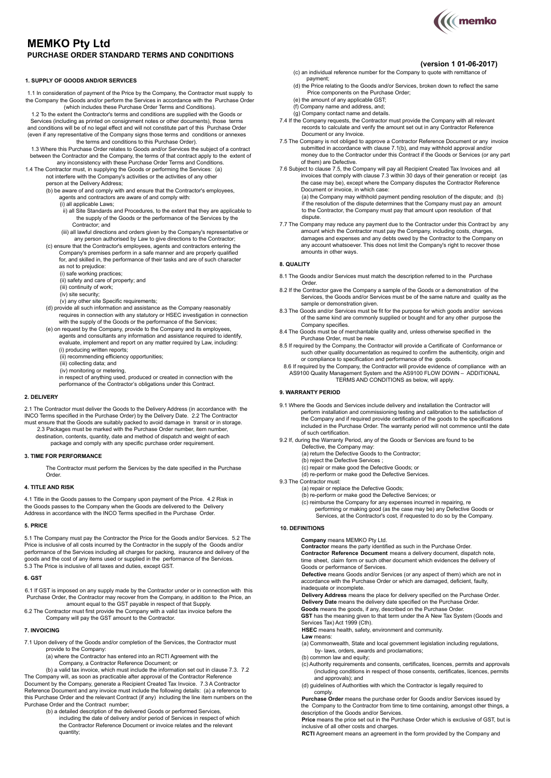# **MEMKO Pty Ltd PURCHASE ORDER STANDARD TERMS AND CONDITIONS**

### **1. SUPPLY OF GOODS AND/OR SERVICES**

1.1 In consideration of payment of the Price by the Company, the Contractor must supply to the Company the Goods and/or perform the Services in accordance with the Purchase Order (which includes these Purchase Order Terms and Conditions).

1.2 To the extent the Contractor's terms and conditions are supplied with the Goods or Services (including as printed on consignment notes or other documents), those terms and conditions will be of no legal effect and will not constitute part of this Purchase Order (even if any representative of the Company signs those terms and conditions or annexes the terms and conditions to this Purchase Order).

- 1.3 Where this Purchase Order relates to Goods and/or Services the subject of a contract between the Contractor and the Company, the terms of that contract apply to the extent of any inconsistency with these Purchase Order Terms and Conditions.
- 1.4 The Contractor must, in supplying the Goods or performing the Services: (a) not interfere with the Company's activities or the activities of any other person at the Delivery Address;
	- (b) be aware of and comply with and ensure that the Contractor's employees, agents and contractors are aware of and comply with: (i) all applicable Laws;
		- ii) all Site Standards and Procedures, to the extent that they are applicable to the supply of the Goods or the performance of the Services by the Contractor; and
		- (iii) all lawful directions and orders given by the Company's representative or any person authorised by Law to give directions to the Contractor;
	- (c) ensure that the Contractor's employees, agents and contractors entering the Company's premises perform in a safe manner and are properly qualified for, and skilled in, the performance of their tasks and are of such character as not to prejudice:
		-
		- (i) safe working practices; (ii) safety and care of property; and
		- (iii) continuity of work;
		- (iv) site security; (v) any other site Specific requirements;
	- (d) provide all such information and assistance as the Company reasonably
	- requires in connection with any statutory or HSEC investigation in connection with the supply of the Goods or the performance of the Services;
	- (e) on request by the Company, provide to the Company and its employees, agents and consultants any information and assistance required to identify, evaluate, implement and report on any matter required by Law, including: (i) producing written reports;
		- (ii) recommending efficiency opportunities;
		- (iii) collecting data; and
		- (iv) monitoring or metering,
		- in respect of anything used, produced or created in connection with the performance of the Contractor's obligations under this Contract.

### **2. DELIVERY**

2.1 The Contractor must deliver the Goods to the Delivery Address (in accordance with the<br>INCO Terms specified in the Purchase Order) by the Delivery Date. 2.2 The Contractor<br>must ensure that the Goods are suitably packed

- 2.3 Packages must be marked with the Purchase Order number, item number, destination, contents, quantity, date and method of dispatch and weight of each
	- package and comply with any specific purchase order requirement.

# **3. TIME FOR PERFORMANCE**

The Contractor must perform the Services by the date specified in the Purchase **Order** 

### **4. TITLE AND RISK**

4.1 Title in the Goods passes to the Company upon payment of the Price. 4.2 Risk in the Goods passes to the Company when the Goods are delivered to the Delivery Address in accordance with the INCO Terms specified in the Purchase Order.

#### **5. PRICE**

5.1 The Company must pay the Contractor the Price for the Goods and/or Services. 5.2 The Price is inclusive of all costs incurred by the Contractor in the supply of the Goods and/or performance of the Services including all charges for packing, insurance and delivery of the goods and the cost of any items used or supplied in the performance of the Services. 5.3 The Price is inclusive of all taxes and duties, except GST.

### **6. GST**

- 6.1 If GST is imposed on any supply made by the Contractor under or in connection with this Purchase Order, the Contractor may recover from the Company, in addition to the Price, an amount equal to the GST payable in respect of that Supply.
- 6.2 The Contractor must first provide the Company with a valid tax invoice before the Company will pay the GST amount to the Contractor.

### **7. INVOICING**

- 7.1 Upon delivery of the Goods and/or completion of the Services, the Contractor must provide to the Company:
	- (a) where the Contractor has entered into an RCTI Agreement with the Company, a Contractor Reference Document; or

(b) a valid tax invoice, which must include the information set out in clause 7.3. 7.2 The Company will, as soon as practicable after approval of the Contractor Reference Document by the Company, generate a Recipient Created Tax Invoice. 7.3 A Contractor Reference Document and any invoice must include the following details: (a) a reference to<br>this Purchase Order and the relevant Contract (if any) including the line item numbers on the Purchase Order and the Contract number; (b) a detailed description of the delivered Goods or performed Services,

including the date of delivery and/or period of Services in respect of which the Contractor Reference Document or invoice relates and the relevant quantity;

- **(version 1 01-06-2017)** (c) an individual reference number for the Company to quote with remittance of
- payment; (d) the Price relating to the Goods and/or Services, broken down to reflect the same Price components on the Purchase Order;
- (e) the amount of any applicable GST;
- (f) Company name and address, and; (g) Company contact name and details.
- 7.4 If the Company requests, the Contractor must provide the Company with all relevant records to calculate and verify the amount set out in any Contractor Reference Document or any Invoice.
- 7.5 The Company is not obliged to approve a Contractor Reference Document or any invoice submitted in accordance with clause 7.1(b), and may withhold approval and/or money due to the Contractor under this Contract if the Goods or Services (or any part of them) are Defective.
- 7.6 Subject to clause 7.5, the Company will pay all Recipient Created Tax Invoices and all invoices that comply with clause 7.3 within 30 days of their generation or receipt (as the case may be), except where the Company disputes the Contractor Reference Document or invoice, in which case:

(a) the Company may withhold payment pending resolution of the dispute; and (b) if the resolution of the dispute determines that the Company must pay an amount to the Contractor, the Company must pay that amount upon resolution of that dispute.

7.7 The Company may reduce any payment due to the Contractor under this Contract by any amount which the Contractor must pay the Company, including costs, charges, damages and expenses and any debts owed by the Contractor to the Company on any account whatsoever. This does not limit the Company's right to recover those amounts in other ways.

#### **8. QUALITY**

- 8.1 The Goods and/or Services must match the description referred to in the Purchase Order.
- 8.2 If the Contractor gave the Company a sample of the Goods or a demonstration of the Services, the Goods and/or Services must be of the same nature and quality as the sample or demonstration given.
- 8.3 The Goods and/or Services must be fit for the purpose for which goods and/or services of the same kind are commonly supplied or bought and for any other purpose the Company specifies.
- 8.4 The Goods must be of merchantable quality and, unless otherwise specified in the
- Purchase Order, must be new. 8.5 If required by the Company, the Contractor will provide a Certificate of Conformance or such other quality documentation as required to confirm the authenticity, origin and
- or compliance to specification and performance of the goods. 8.6 If required by the Company, the Contractor will provide evidence of compliance with an AS9100 Quality Management System and the AS9100 FLOW DOWN – ADDITIONAL TERMS AND CONDITIONS as below, will apply.

### **9. WARRANTY PERIOD**

- 9.1 Where the Goods and Services include delivery and installation the Contractor will perform installation and commissioning testing and calibration to the satisfaction of the Company and if required provide certification of the goods to the specifications included in the Purchase Order. The warranty period will not commence until the date of such certification.
- 9.2 If, during the Warranty Period, any of the Goods or Services are found to be
	- Defective, the Company may:
	- (a) return the Defective Goods to the Contractor;
	- (b) reject the Defective Services ; (c) repair or make good the Defective Goods; or
	- (d) re-perform or make good the Defective Services.
- 9.3 The Contractor must:
	- (a) repair or replace the Defective Goods;
	- (b) re-perform or make good the Defective Services; or
	- (c) reimburse the Company for any expenses incurred in repairing, re performing or making good (as the case may be) any Defective Goods or Services, at the Contractor's cost, if requested to do so by the Company.

### **10. DEFINITIONS**

**Company** means MEMKO Pty Ltd.

**Contractor** means the party identified as such in the Purchase Order. **Contractor Reference Document** means a delivery document, dispatch note, time sheet, claim form or such other document which evidences the delivery of Goods or performance of Services.

**Defective** means Goods and/or Services (or any aspect of them) which are not in accordance with the Purchase Order or which are damaged, deficient, faulty, inadequate or incomplete.

**Delivery Address** means the place for delivery specified on the Purchase Order. **Delivery Date** means the delivery date specified on the Purchase Order.

**Goods** means the goods, if any, described on the Purchase Order.

**GST** has the meaning given to that term under the A New Tax System (Goods and Services Tax) Act 1999 (Cth).

**HSEC** means health, safety, environment and community.

**Law** means:

- (a) Commonwealth, State and local government legislation including regulations, by- laws, orders, awards and proclamations;
- (b) common law and equity;
- (c) Authority requirements and consents, certificates, licences, permits and approvals (including conditions in respect of those consents, certificates, licences, permits and approvals); and
- (d) quidelines of Authorities with which the Contractor is legally required to comply.

**Purchase Order** means the purchase order for Goods and/or Services issued by the Company to the Contractor from time to time containing, amongst other things, a description of the Goods and/or Services.

**Price** means the price set out in the Purchase Order which is exclusive of GST, but is inclusive of all other costs and charges.

**RCTI** Agreement means an agreement in the form provided by the Company and